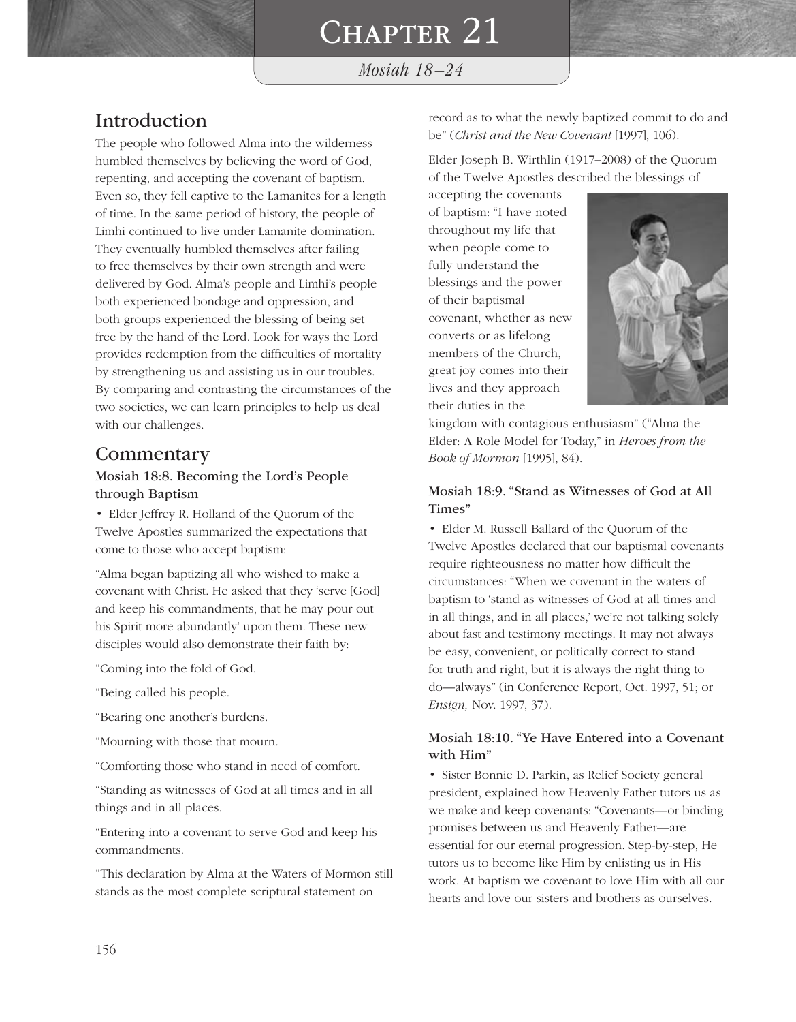# CHAPTER 21

## *Mosiah 18–24*

# Introduction

The people who followed Alma into the wilderness humbled themselves by believing the word of God, repenting, and accepting the covenant of baptism. Even so, they fell captive to the Lamanites for a length of time. In the same period of history, the people of Limhi continued to live under Lamanite domination. They eventually humbled themselves after failing to free themselves by their own strength and were delivered by God. Alma's people and Limhi's people both experienced bondage and oppression, and both groups experienced the blessing of being set free by the hand of the Lord. Look for ways the Lord provides redemption from the difficulties of mortality by strengthening us and assisting us in our troubles. By comparing and contrasting the circumstances of the two societies, we can learn principles to help us deal with our challenges.

# **Commentary**

#### Mosiah 18:8. Becoming the Lord's People through Baptism

• Elder Jeffrey R. Holland of the Quorum of the Twelve Apostles summarized the expectations that come to those who accept baptism:

"Alma began baptizing all who wished to make a covenant with Christ. He asked that they 'serve [God] and keep his commandments, that he may pour out his Spirit more abundantly' upon them. These new disciples would also demonstrate their faith by:

"Coming into the fold of God.

- "Being called his people.
- "Bearing one another's burdens.
- "Mourning with those that mourn.
- "Comforting those who stand in need of comfort.

"Standing as witnesses of God at all times and in all things and in all places.

"Entering into a covenant to serve God and keep his commandments.

"This declaration by Alma at the Waters of Mormon still stands as the most complete scriptural statement on

record as to what the newly baptized commit to do and be" (*Christ and the New Covenant* [1997], 106).

Elder Joseph B. Wirthlin (1917–2008) of the Quorum of the Twelve Apostles described the blessings of

accepting the covenants of baptism: "I have noted throughout my life that when people come to fully understand the blessings and the power of their baptismal covenant, whether as new converts or as lifelong members of the Church, great joy comes into their lives and they approach their duties in the



kingdom with contagious enthusiasm" ("Alma the Elder: A Role Model for Today," in *Heroes from the Book of Mormon* [1995], 84).

#### Mosiah 18:9. "Stand as Witnesses of God at All Times"

• Elder M. Russell Ballard of the Quorum of the Twelve Apostles declared that our baptismal covenants require righteousness no matter how difficult the circumstances: "When we covenant in the waters of baptism to 'stand as witnesses of God at all times and in all things, and in all places,' we're not talking solely about fast and testimony meetings. It may not always be easy, convenient, or politically correct to stand for truth and right, but it is always the right thing to do—always" (in Conference Report, Oct. 1997, 51; or *Ensign,* Nov. 1997, 37).

## Mosiah 18:10. "Ye Have Entered into a Covenant with Him"

• Sister Bonnie D. Parkin, as Relief Society general president, explained how Heavenly Father tutors us as we make and keep covenants: "Covenants—or binding promises between us and Heavenly Father—are essential for our eternal progression. Step-by-step, He tutors us to become like Him by enlisting us in His work. At baptism we covenant to love Him with all our hearts and love our sisters and brothers as ourselves.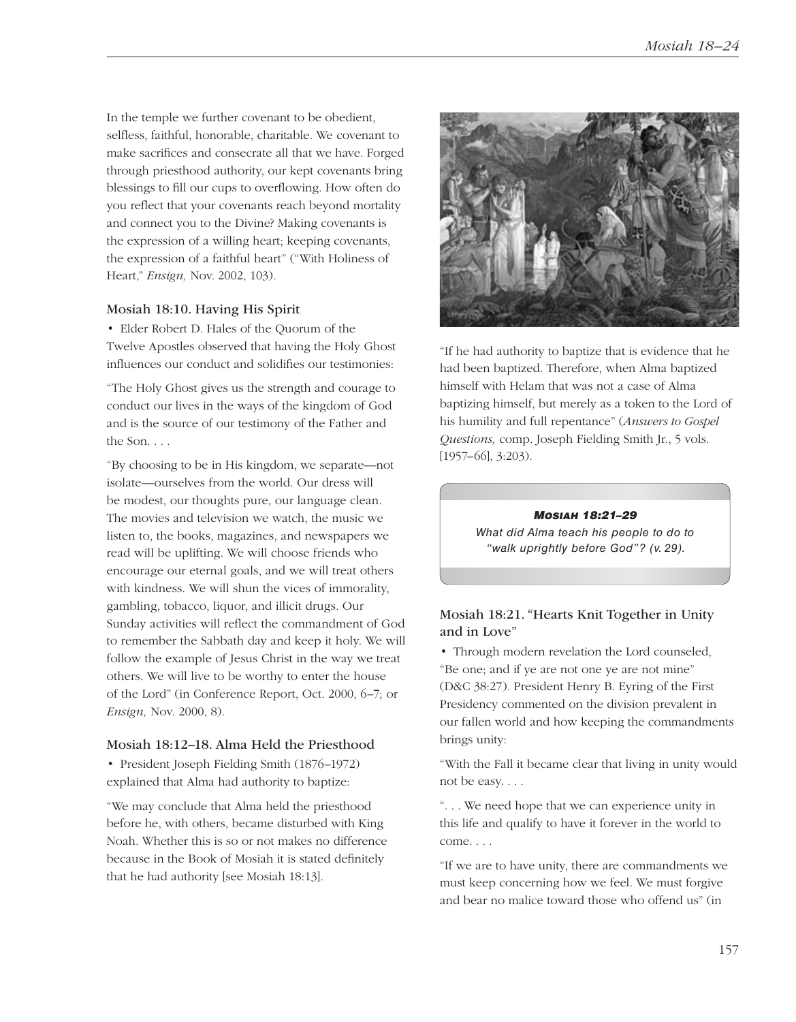In the temple we further covenant to be obedient, selfless, faithful, honorable, charitable. We covenant to make sacrifices and consecrate all that we have. Forged through priesthood authority, our kept covenants bring blessings to fill our cups to overflowing. How often do you reflect that your covenants reach beyond mortality and connect you to the Divine? Making covenants is the expression of a willing heart; keeping covenants, the expression of a faithful heart" ("With Holiness of Heart," *Ensign,* Nov. 2002, 103).

#### Mosiah 18:10. Having His Spirit

• Elder Robert D. Hales of the Quorum of the Twelve Apostles observed that having the Holy Ghost influences our conduct and solidifies our testimonies:

"The Holy Ghost gives us the strength and courage to conduct our lives in the ways of the kingdom of God and is the source of our testimony of the Father and the Son. . . .

"By choosing to be in His kingdom, we separate—not isolate—ourselves from the world. Our dress will be modest, our thoughts pure, our language clean. The movies and television we watch, the music we listen to, the books, magazines, and newspapers we read will be uplifting. We will choose friends who encourage our eternal goals, and we will treat others with kindness. We will shun the vices of immorality, gambling, tobacco, liquor, and illicit drugs. Our Sunday activities will reflect the commandment of God to remember the Sabbath day and keep it holy. We will follow the example of Jesus Christ in the way we treat others. We will live to be worthy to enter the house of the Lord" (in Conference Report, Oct. 2000, 6–7; or *Ensign,* Nov. 2000, 8).

#### Mosiah 18:12–18. Alma Held the Priesthood

• President Joseph Fielding Smith (1876–1972) explained that Alma had authority to baptize:

"We may conclude that Alma held the priesthood before he, with others, became disturbed with King Noah. Whether this is so or not makes no difference because in the Book of Mosiah it is stated definitely that he had authority [see Mosiah 18:13].



"If he had authority to baptize that is evidence that he had been baptized. Therefore, when Alma baptized himself with Helam that was not a case of Alma baptizing himself, but merely as a token to the Lord of his humility and full repentance" (*Answers to Gospel Questions,* comp. Joseph Fielding Smith Jr., 5 vols. [1957–66], 3:203).

> *Mosiah 18:21–29 What did Alma teach his people to do to "walk uprightly before God"? (v. 29).*

#### Mosiah 18:21. "Hearts Knit Together in Unity and in Love"

• Through modern revelation the Lord counseled, "Be one; and if ye are not one ye are not mine" (D&C 38:27). President Henry B. Eyring of the First Presidency commented on the division prevalent in our fallen world and how keeping the commandments brings unity:

"With the Fall it became clear that living in unity would not be easy. . . .

". . . We need hope that we can experience unity in this life and qualify to have it forever in the world to come. . . .

"If we are to have unity, there are commandments we must keep concerning how we feel. We must forgive and bear no malice toward those who offend us" (in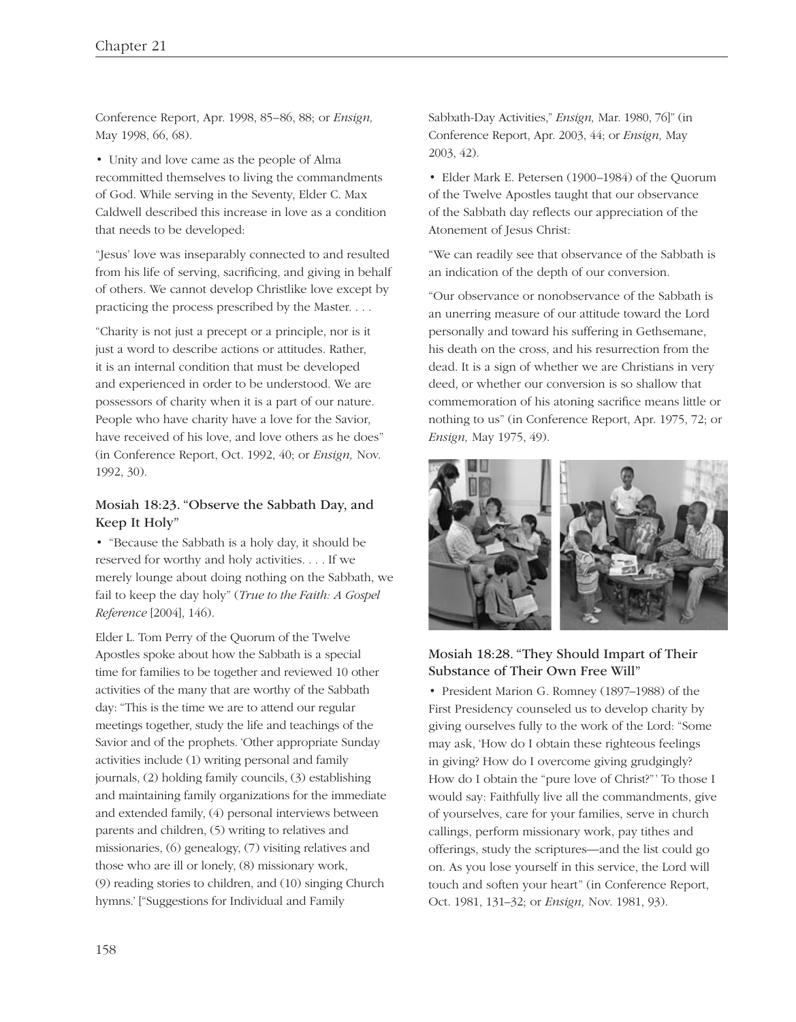Conference Report, Apr. 1998, 85–86, 88; or *Ensign,* May 1998, 66, 68).

• Unity and love came as the people of Alma recommitted themselves to living the commandments of God. While serving in the Seventy, Elder C. Max Caldwell described this increase in love as a condition that needs to be developed:

"Jesus' love was inseparably connected to and resulted from his life of serving, sacrificing, and giving in behalf of others. We cannot develop Christlike love except by practicing the process prescribed by the Master. . . .

"Charity is not just a precept or a principle, nor is it just a word to describe actions or attitudes. Rather, it is an internal condition that must be developed and experienced in order to be understood. We are possessors of charity when it is a part of our nature. People who have charity have a love for the Savior, have received of his love, and love others as he does" (in Conference Report, Oct. 1992, 40; or *Ensign,* Nov. 1992, 30).

## Mosiah 18:23. "Observe the Sabbath Day, and Keep It Holy"

• "Because the Sabbath is a holy day, it should be reserved for worthy and holy activities. . . . If we merely lounge about doing nothing on the Sabbath, we fail to keep the day holy" (*True to the Faith: A Gospel Reference* [2004], 146).

Elder L. Tom Perry of the Quorum of the Twelve Apostles spoke about how the Sabbath is a special time for families to be together and reviewed 10 other activities of the many that are worthy of the Sabbath day: "This is the time we are to attend our regular meetings together, study the life and teachings of the Savior and of the prophets. 'Other appropriate Sunday activities include (1) writing personal and family journals, (2) holding family councils, (3) establishing and maintaining family organizations for the immediate and extended family, (4) personal interviews between parents and children, (5) writing to relatives and missionaries, (6) genealogy, (7) visiting relatives and those who are ill or lonely, (8) missionary work, (9) reading stories to children, and (10) singing Church hymns.' ["Suggestions for Individual and Family

Sabbath-Day Activities," *Ensign,* Mar. 1980, 76]" (in Conference Report, Apr. 2003, 44; or *Ensign,* May 2003, 42).

• Elder Mark E. Petersen (1900–1984) of the Quorum of the Twelve Apostles taught that our observance of the Sabbath day reflects our appreciation of the Atonement of Jesus Christ:

"We can readily see that observance of the Sabbath is an indication of the depth of our conversion.

"Our observance or nonobservance of the Sabbath is an unerring measure of our attitude toward the Lord personally and toward his suffering in Gethsemane, his death on the cross, and his resurrection from the dead. It is a sign of whether we are Christians in very deed, or whether our conversion is so shallow that commemoration of his atoning sacrifice means little or nothing to us" (in Conference Report, Apr. 1975, 72; or *Ensign,* May 1975, 49).



## Mosiah 18:28. "They Should Impart of Their Substance of Their Own Free Will"

• President Marion G. Romney (1897–1988) of the First Presidency counseled us to develop charity by giving ourselves fully to the work of the Lord: "Some may ask, 'How do I obtain these righteous feelings in giving? How do I overcome giving grudgingly? How do I obtain the "pure love of Christ?"' To those I would say: Faithfully live all the commandments, give of yourselves, care for your families, serve in church callings, perform missionary work, pay tithes and offerings, study the scriptures—and the list could go on. As you lose yourself in this service, the Lord will touch and soften your heart" (in Conference Report, Oct. 1981, 131–32; or *Ensign,* Nov. 1981, 93).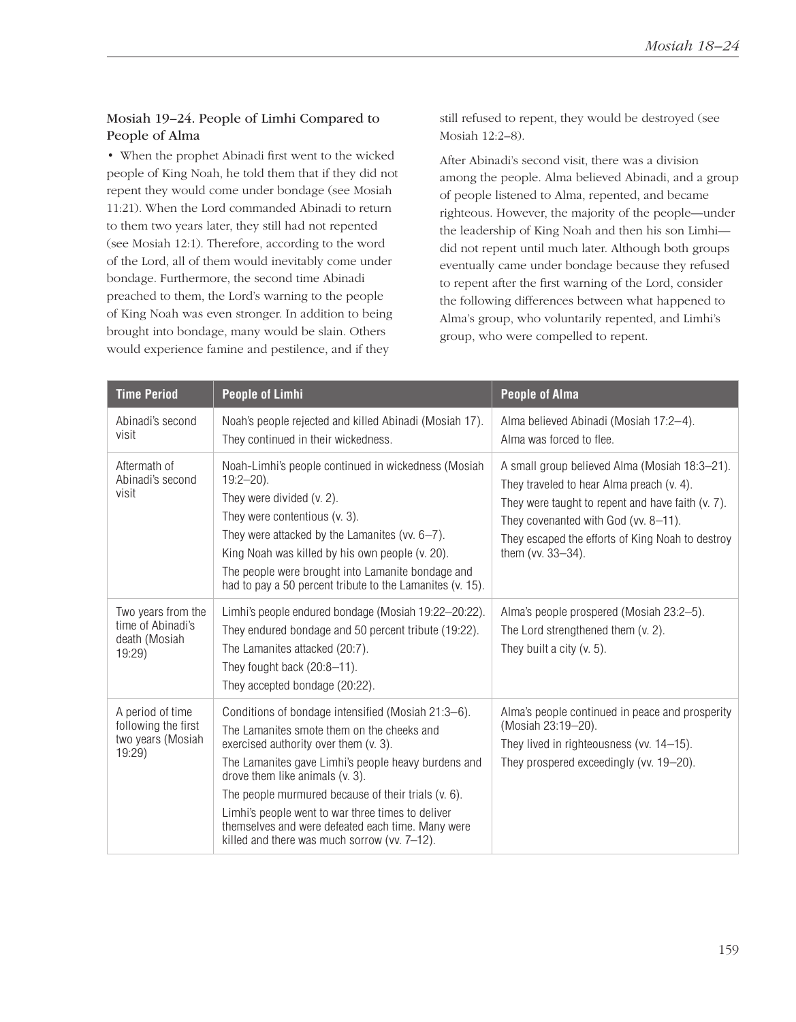## Mosiah 19–24. People of Limhi Compared to People of Alma

• When the prophet Abinadi first went to the wicked people of King Noah, he told them that if they did not repent they would come under bondage (see Mosiah 11:21). When the Lord commanded Abinadi to return to them two years later, they still had not repented (see Mosiah 12:1). Therefore, according to the word of the Lord, all of them would inevitably come under bondage. Furthermore, the second time Abinadi preached to them, the Lord's warning to the people of King Noah was even stronger. In addition to being brought into bondage, many would be slain. Others would experience famine and pestilence, and if they

still refused to repent, they would be destroyed (see Mosiah 12:2–8).

After Abinadi's second visit, there was a division among the people. Alma believed Abinadi, and a group of people listened to Alma, repented, and became righteous. However, the majority of the people—under the leadership of King Noah and then his son Limhi did not repent until much later. Although both groups eventually came under bondage because they refused to repent after the first warning of the Lord, consider the following differences between what happened to Alma's group, who voluntarily repented, and Limhi's group, who were compelled to repent.

| <b>Time Period</b>                                                     | <b>People of Limhi</b>                                                                                                                                                                                                                                                                                                                                                                                                                               | <b>People of Alma</b>                                                                                                                                                                                                                                            |
|------------------------------------------------------------------------|------------------------------------------------------------------------------------------------------------------------------------------------------------------------------------------------------------------------------------------------------------------------------------------------------------------------------------------------------------------------------------------------------------------------------------------------------|------------------------------------------------------------------------------------------------------------------------------------------------------------------------------------------------------------------------------------------------------------------|
| Abinadi's second<br>visit                                              | Noah's people rejected and killed Abinadi (Mosiah 17).<br>They continued in their wickedness.                                                                                                                                                                                                                                                                                                                                                        | Alma believed Abinadi (Mosiah 17:2-4).<br>Alma was forced to flee.                                                                                                                                                                                               |
| Aftermath of<br>Abinadi's second<br>visit                              | Noah-Limhi's people continued in wickedness (Mosiah<br>$19:2 - 20$ ).<br>They were divided (v. 2).<br>They were contentious (v. 3).<br>They were attacked by the Lamanites (vv. $6-7$ ).<br>King Noah was killed by his own people (v. 20).<br>The people were brought into Lamanite bondage and<br>had to pay a 50 percent tribute to the Lamanites (v. 15).                                                                                        | A small group believed Alma (Mosiah 18:3-21).<br>They traveled to hear Alma preach (v. 4).<br>They were taught to repent and have faith (v. 7).<br>They covenanted with God (vv. 8-11).<br>They escaped the efforts of King Noah to destroy<br>them (vv. 33-34). |
| Two years from the<br>time of Abinadi's<br>death (Mosiah<br>19:29      | Limhi's people endured bondage (Mosiah 19:22-20:22).<br>They endured bondage and 50 percent tribute (19:22).<br>The Lamanites attacked (20:7).<br>They fought back (20:8-11).<br>They accepted bondage (20:22).                                                                                                                                                                                                                                      | Alma's people prospered (Mosiah 23:2-5).<br>The Lord strengthened them (v. 2).<br>They built a city ( $v. 5$ ).                                                                                                                                                  |
| A period of time<br>following the first<br>two years (Mosiah<br>19:29) | Conditions of bondage intensified (Mosiah 21:3-6).<br>The Lamanites smote them on the cheeks and<br>exercised authority over them (v. 3).<br>The Lamanites gave Limhi's people heavy burdens and<br>drove them like animals (v. 3).<br>The people murmured because of their trials (v. 6).<br>Limhi's people went to war three times to deliver<br>themselves and were defeated each time. Many were<br>killed and there was much sorrow (vv. 7-12). | Alma's people continued in peace and prosperity<br>(Mosiah 23:19-20).<br>They lived in righteousness (vv. 14-15).<br>They prospered exceedingly (vv. 19-20).                                                                                                     |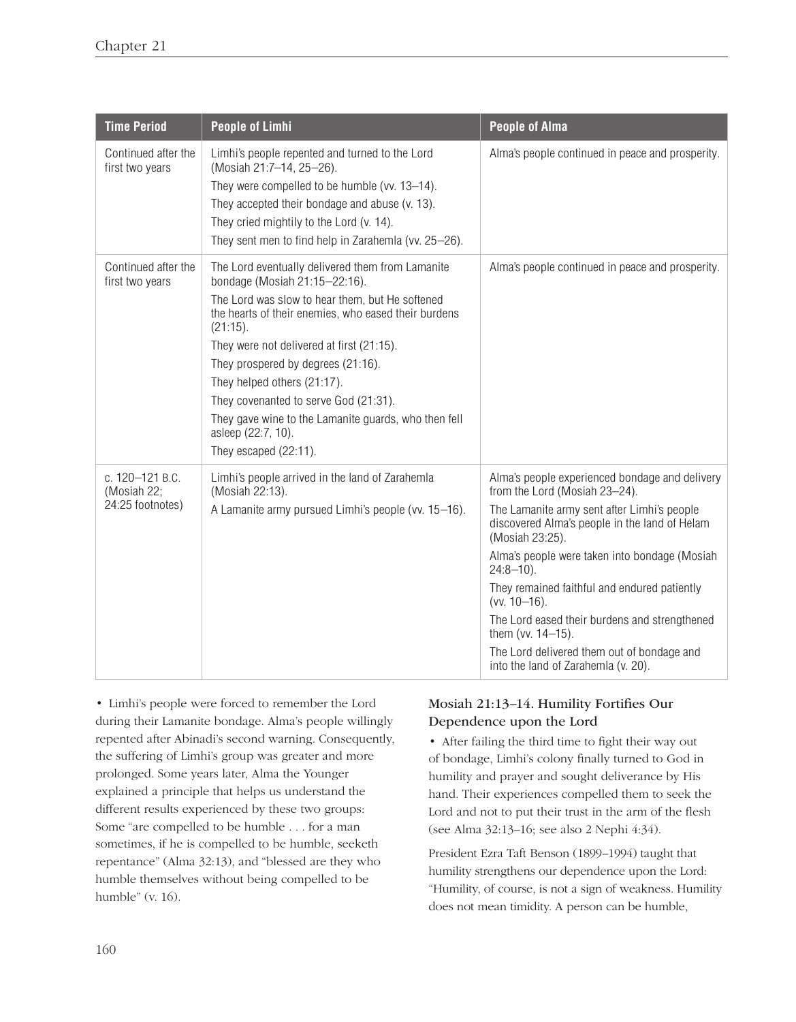| <b>Time Period</b>                                 | <b>People of Limhi</b>                                                                                                                                                                                                                                                                                                                                                                                                                                                        | <b>People of Alma</b>                                                                                                                                                                                                                                                                                                                                                                                                                                                                               |
|----------------------------------------------------|-------------------------------------------------------------------------------------------------------------------------------------------------------------------------------------------------------------------------------------------------------------------------------------------------------------------------------------------------------------------------------------------------------------------------------------------------------------------------------|-----------------------------------------------------------------------------------------------------------------------------------------------------------------------------------------------------------------------------------------------------------------------------------------------------------------------------------------------------------------------------------------------------------------------------------------------------------------------------------------------------|
| Continued after the<br>first two years             | Limhi's people repented and turned to the Lord<br>(Mosiah 21:7-14, 25-26).<br>They were compelled to be humble (vv. 13-14).<br>They accepted their bondage and abuse (v. 13).<br>They cried mightily to the Lord (v. 14).<br>They sent men to find help in Zarahemla (vv. 25–26).                                                                                                                                                                                             | Alma's people continued in peace and prosperity.                                                                                                                                                                                                                                                                                                                                                                                                                                                    |
| Continued after the<br>first two years             | The Lord eventually delivered them from Lamanite<br>bondage (Mosiah 21:15-22:16).<br>The Lord was slow to hear them, but He softened<br>the hearts of their enemies, who eased their burdens<br>$(21:15)$ .<br>They were not delivered at first (21:15).<br>They prospered by degrees (21:16).<br>They helped others (21:17).<br>They covenanted to serve God (21:31).<br>They gave wine to the Lamanite guards, who then fell<br>asleep (22:7, 10).<br>They escaped (22:11). | Alma's people continued in peace and prosperity.                                                                                                                                                                                                                                                                                                                                                                                                                                                    |
| c. 120-121 B.C.<br>(Mosiah 22;<br>24:25 footnotes) | Limhi's people arrived in the land of Zarahemla<br>(Mosiah 22:13).<br>A Lamanite army pursued Limhi's people (vv. 15-16).                                                                                                                                                                                                                                                                                                                                                     | Alma's people experienced bondage and delivery<br>from the Lord (Mosiah 23-24).<br>The Lamanite army sent after Limhi's people<br>discovered Alma's people in the land of Helam<br>(Mosiah 23:25).<br>Alma's people were taken into bondage (Mosiah<br>$24:8 - 10$ ).<br>They remained faithful and endured patiently<br>$(vv. 10-16)$ .<br>The Lord eased their burdens and strengthened<br>them (vv. 14-15).<br>The Lord delivered them out of bondage and<br>into the land of Zarahemla (v. 20). |

• Limhi's people were forced to remember the Lord during their Lamanite bondage. Alma's people willingly repented after Abinadi's second warning. Consequently, the suffering of Limhi's group was greater and more prolonged. Some years later, Alma the Younger explained a principle that helps us understand the different results experienced by these two groups: Some "are compelled to be humble . . . for a man sometimes, if he is compelled to be humble, seeketh repentance" (Alma 32:13), and "blessed are they who humble themselves without being compelled to be humble" (v. 16).

## Mosiah 21:13–14. Humility Fortifies Our Dependence upon the Lord

• After failing the third time to fight their way out of bondage, Limhi's colony finally turned to God in humility and prayer and sought deliverance by His hand. Their experiences compelled them to seek the Lord and not to put their trust in the arm of the flesh (see Alma 32:13–16; see also 2 Nephi 4:34).

President Ezra Taft Benson (1899–1994) taught that humility strengthens our dependence upon the Lord: "Humility, of course, is not a sign of weakness. Humility does not mean timidity. A person can be humble,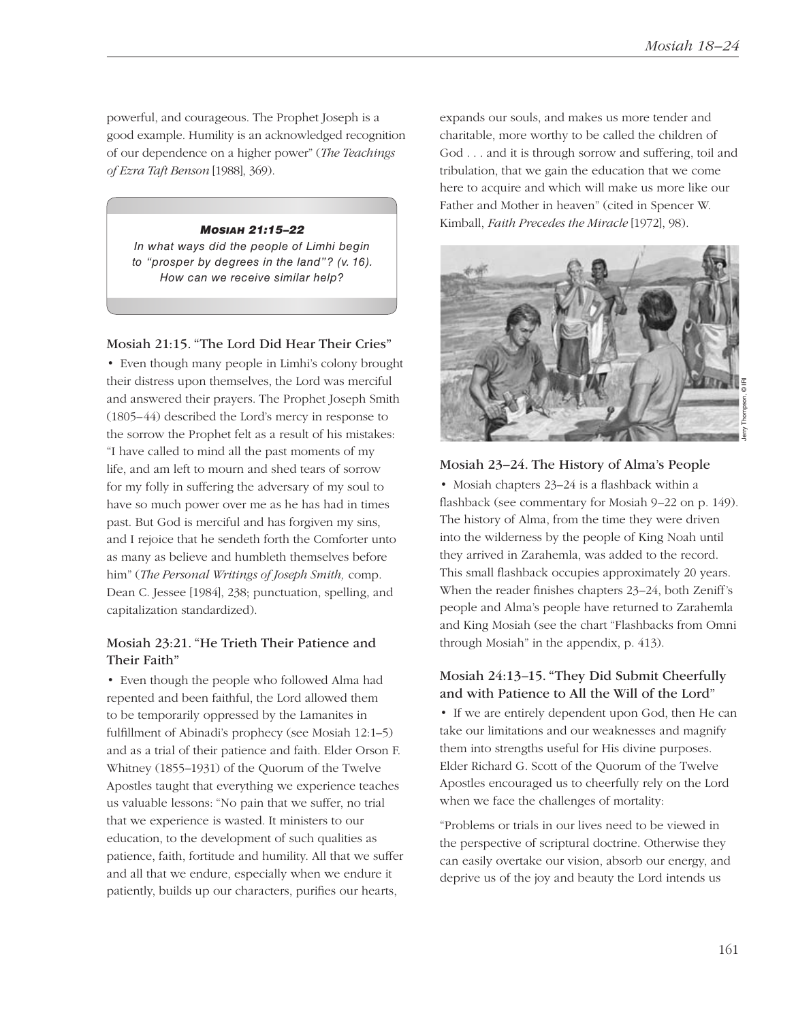powerful, and courageous. The Prophet Joseph is a good example. Humility is an acknowledged recognition of our dependence on a higher power" (*The Teachings of Ezra Taft Benson* [1988], 369).

#### *Mosiah 21:15–22*

*In what ways did the people of Limhi begin to "prosper by degrees in the land"? (v. 16). How can we receive similar help?*

#### Mosiah 21:15. "The Lord Did Hear Their Cries"

• Even though many people in Limhi's colony brought their distress upon themselves, the Lord was merciful and answered their prayers. The Prophet Joseph Smith (1805–44) described the Lord's mercy in response to the sorrow the Prophet felt as a result of his mistakes: "I have called to mind all the past moments of my life, and am left to mourn and shed tears of sorrow for my folly in suffering the adversary of my soul to have so much power over me as he has had in times past. But God is merciful and has forgiven my sins, and I rejoice that he sendeth forth the Comforter unto as many as believe and humbleth themselves before him" (*The Personal Writings of Joseph Smith,* comp. Dean C. Jessee [1984], 238; punctuation, spelling, and capitalization standardized).

## Mosiah 23:21. "He Trieth Their Patience and Their Faith"

• Even though the people who followed Alma had repented and been faithful, the Lord allowed them to be temporarily oppressed by the Lamanites in fulfillment of Abinadi's prophecy (see Mosiah 12:1–5) and as a trial of their patience and faith. Elder Orson F. Whitney (1855–1931) of the Quorum of the Twelve Apostles taught that everything we experience teaches us valuable lessons: "No pain that we suffer, no trial that we experience is wasted. It ministers to our education, to the development of such qualities as patience, faith, fortitude and humility. All that we suffer and all that we endure, especially when we endure it patiently, builds up our characters, purifies our hearts,

expands our souls, and makes us more tender and charitable, more worthy to be called the children of God . . . and it is through sorrow and suffering, toil and tribulation, that we gain the education that we come here to acquire and which will make us more like our Father and Mother in heaven" (cited in Spencer W. Kimball, *Faith Precedes the Miracle* [1972], 98).



#### Mosiah 23–24. The History of Alma's People

• Mosiah chapters 23–24 is a flashback within a flashback (see commentary for Mosiah 9–22 on p. 149). The history of Alma, from the time they were driven into the wilderness by the people of King Noah until they arrived in Zarahemla, was added to the record. This small flashback occupies approximately 20 years. When the reader finishes chapters 23–24, both Zeniff's people and Alma's people have returned to Zarahemla and King Mosiah (see the chart "Flashbacks from Omni through Mosiah" in the appendix, p. 413).

#### Mosiah 24:13–15. "They Did Submit Cheerfully and with Patience to All the Will of the Lord"

• If we are entirely dependent upon God, then He can take our limitations and our weaknesses and magnify them into strengths useful for His divine purposes. Elder Richard G. Scott of the Quorum of the Twelve Apostles encouraged us to cheerfully rely on the Lord when we face the challenges of mortality:

"Problems or trials in our lives need to be viewed in the perspective of scriptural doctrine. Otherwise they can easily overtake our vision, absorb our energy, and deprive us of the joy and beauty the Lord intends us